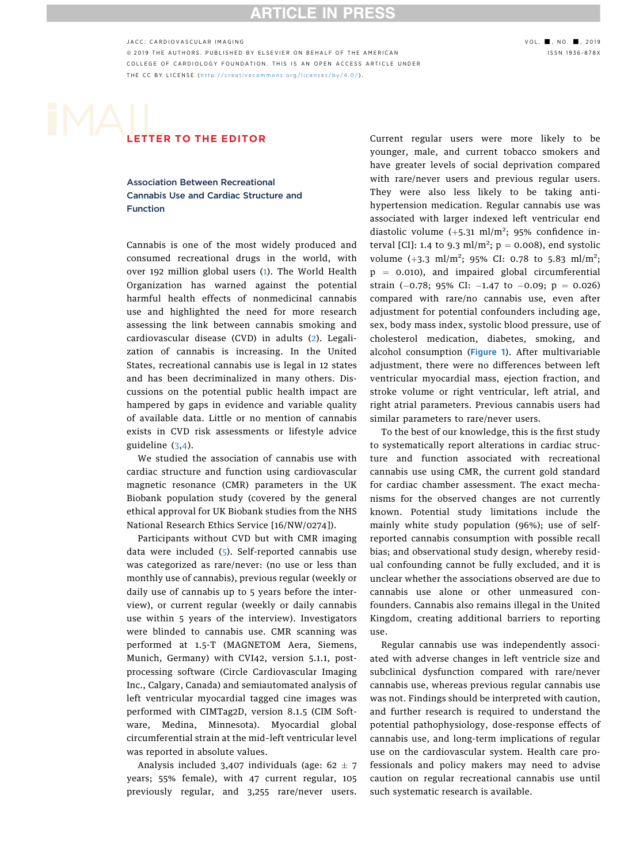## **RTICLE IN PRES:**

JACC: CARDIOVASCULAR IMAGING<br>© 2019 THE AUTHORS. PUBLISHED BY ELSEVIER ON BEHALF OF THE AMERICAN GALL THE SON DISSN 1936-878X © 2019 THE AUTHORS. PUBLISHED BY ELSEVIER ON BEHALF OF THE AMERICAN<br>COLLEGE OF CARDIOLOGY FOUNDATION. THIS IS AN OPEN ACCESS ARTICLE UNDER THE CC BY LICENSE (http://creativecommons.org/licenses/by/4.0/). The correction  $\langle$  https://creativecommons.org/licenses/by/4.0/ ) .

# LETTER TO THE EDITOR

Association Between Recreational Cannabis Use and Cardiac Structure and Function

Cannabis is one of the most widely produced and consumed recreational drugs in the world, with over 192 million global users ([1](#page-1-0)). The World Health Organization has warned against the potential harmful health effects of nonmedicinal cannabis use and highlighted the need for more research assessing the link between cannabis smoking and cardiovascular disease (CVD) in adults ([2](#page-2-0)). Legalization of cannabis is increasing. In the United States, recreational cannabis use is legal in 12 states and has been decriminalized in many others. Discussions on the potential public health impact are hampered by gaps in evidence and variable quality of available data. Little or no mention of cannabis exists in CVD risk assessments or lifestyle advice guideline [\(3,4](#page-2-0)).

We studied the association of cannabis use with cardiac structure and function using cardiovascular magnetic resonance (CMR) parameters in the UK Biobank population study (covered by the general ethical approval for UK Biobank studies from the NHS National Research Ethics Service [16/NW/0274]).

Participants without CVD but with CMR imaging data were included ([5](#page-2-0)). Self-reported cannabis use was categorized as rare/never: (no use or less than monthly use of cannabis), previous regular (weekly or daily use of cannabis up to 5 years before the interview), or current regular (weekly or daily cannabis use within 5 years of the interview). Investigators were blinded to cannabis use. CMR scanning was performed at 1.5-T (MAGNETOM Aera, Siemens, Munich, Germany) with CVI42, version 5.1.1, postprocessing software (Circle Cardiovascular Imaging Inc., Calgary, Canada) and semiautomated analysis of left ventricular myocardial tagged cine images was performed with CIMTag2D, version 8.1.5 (CIM Software, Medina, Minnesota). Myocardial global circumferential strain at the mid–left ventricular level was reported in absolute values.

Analysis included 3,407 individuals (age:  $62 \pm 7$ years; 55% female), with 47 current regular, 105 previously regular, and 3,255 rare/never users.

Current regular users were more likely to be younger, male, and current tobacco smokers and have greater levels of social deprivation compared with rare/never users and previous regular users. They were also less likely to be taking antihypertension medication. Regular cannabis use was associated with larger indexed left ventricular end diastolic volume  $(+5.31 \text{ ml/m}^2; 95\%$  confidence interval [CI]: 1.4 to 9.3 ml/m<sup>2</sup>;  $p = 0.008$ ), end systolic volume  $(+3.3 \text{ ml/m}^2; 95\% \text{ CI: } 0.78 \text{ to } 5.83 \text{ ml/m}^2;$  $p = 0.010$ ), and impaired global circumferential strain  $(-0.78; 95\% \text{ CI: } -1.47 \text{ to } -0.09; \text{ p} = 0.026)$ compared with rare/no cannabis use, even after adjustment for potential confounders including age, sex, body mass index, systolic blood pressure, use of cholesterol medication, diabetes, smoking, and alcohol consumption ([Figure 1](#page-1-0)). After multivariable adjustment, there were no differences between left ventricular myocardial mass, ejection fraction, and stroke volume or right ventricular, left atrial, and right atrial parameters. Previous cannabis users had similar parameters to rare/never users.

To the best of our knowledge, this is the first study to systematically report alterations in cardiac structure and function associated with recreational cannabis use using CMR, the current gold standard for cardiac chamber assessment. The exact mechanisms for the observed changes are not currently known. Potential study limitations include the mainly white study population (96%); use of selfreported cannabis consumption with possible recall bias; and observational study design, whereby residual confounding cannot be fully excluded, and it is unclear whether the associations observed are due to cannabis use alone or other unmeasured confounders. Cannabis also remains illegal in the United Kingdom, creating additional barriers to reporting use.

Regular cannabis use was independently associated with adverse changes in left ventricle size and subclinical dysfunction compared with rare/never cannabis use, whereas previous regular cannabis use was not. Findings should be interpreted with caution, and further research is required to understand the potential pathophysiology, dose-response effects of cannabis use, and long-term implications of regular use on the cardiovascular system. Health care professionals and policy makers may need to advise caution on regular recreational cannabis use until such systematic research is available.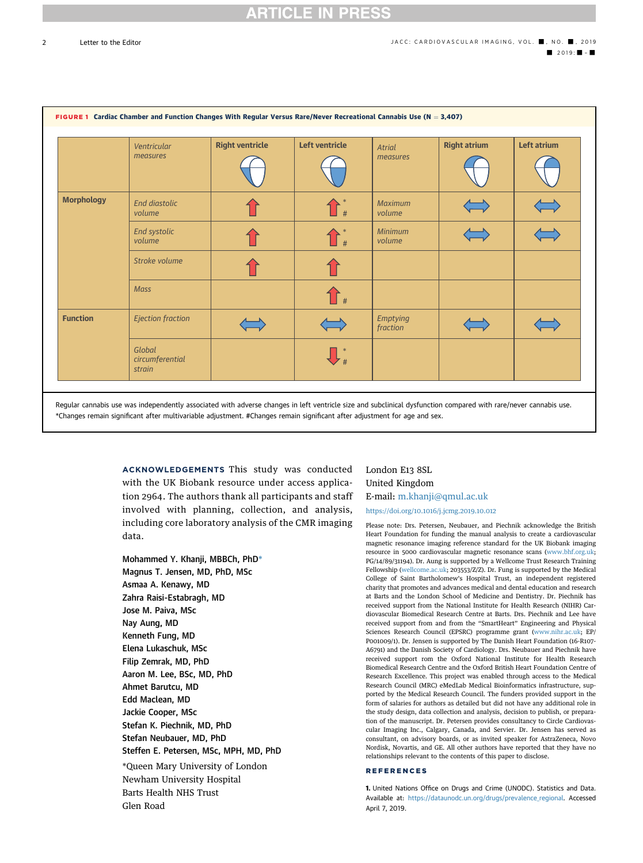<span id="page-1-0"></span> $\overline{2}$ 



ACKNOWLEDGEMENTS This study was conducted with the UK Biobank resource under access application 2964. The authors thank all participants and staff involved with planning, collection, and analysis, including core laboratory analysis of the CMR imaging data.

Mohammed Y. Khanji, MBBCh, PhD\* Magnus T. Jensen, MD, PhD, MSc Asmaa A. Kenawy, MD Zahra Raisi-Estabragh, MD Jose M. Paiva, MSc Nay Aung, MD Kenneth Fung, MD Elena Lukaschuk, MSc Filip Zemrak, MD, PhD Aaron M. Lee, BSc, MD, PhD Ahmet Barutcu, MD Edd Maclean, MD Jackie Cooper, MSc Stefan K. Piechnik, MD, PhD Stefan Neubauer, MD, PhD Steffen E. Petersen, MSc, MPH, MD, PhD \*Queen Mary University of London Newham University Hospital Barts Health NHS Trust Glen Road

### London E13 8SL United Kingdom E-mail: [m.khanji@qmul.ac.uk](mailto:m.khanji@qmul.ac.uk)

#### <https://doi.org/10.1016/j.jcmg.2019.10.012>

Please note: Drs. Petersen, Neubauer, and Piechnik acknowledge the British Heart Foundation for funding the manual analysis to create a cardiovascular magnetic resonance imaging reference standard for the UK Biobank imaging resource in 5000 cardiovascular magnetic resonance scans [\(www.bhf.org.uk](http://www.bhf.org.uk); PG/14/89/31194). Dr. Aung is supported by a Wellcome Trust Research Training Fellowship ([wellcome.ac.uk](http://wellcome.ac.uk); 203553/Z/Z). Dr. Fung is supported by the Medical College of Saint Bartholomew's Hospital Trust, an independent registered charity that promotes and advances medical and dental education and research at Barts and the London School of Medicine and Dentistry. Dr. Piechnik has received support from the National Institute for Health Research (NIHR) Cardiovascular Biomedical Research Centre at Barts. Drs. Piechnik and Lee have received support from and from the "SmartHeart" Engineering and Physical Sciences Research Council (EPSRC) programme grant ([www.nihr.ac.uk](http://www.nihr.ac.uk); EP/ P001009/1). Dr. Jensen is supported by The Danish Heart Foundation (16-R107- A6791) and the Danish Society of Cardiology. Drs. Neubauer and Piechnik have received support rom the Oxford National Institute for Health Research Biomedical Research Centre and the Oxford British Heart Foundation Centre of Research Excellence. This project was enabled through access to the Medical Research Council (MRC) eMedLab Medical Bioinformatics infrastructure, supported by the Medical Research Council. The funders provided support in the form of salaries for authors as detailed but did not have any additional role in the study design, data collection and analysis, decision to publish, or preparation of the manuscript. Dr. Petersen provides consultancy to Circle Cardiovascular Imaging Inc., Calgary, Canada, and Servier. Dr. Jensen has served as consultant, on advisory boards, or as invited speaker for AstraZeneca, Novo Nordisk, Novartis, and GE. All other authors have reported that they have no relationships relevant to the contents of this paper to disclose.

#### REFERENCES

1. United Nations Office on Drugs and Crime (UNODC). Statistics and Data. Available at: https://dataunodc.un.org/drugs/prevalence regional. Accessed April 7, 2019.